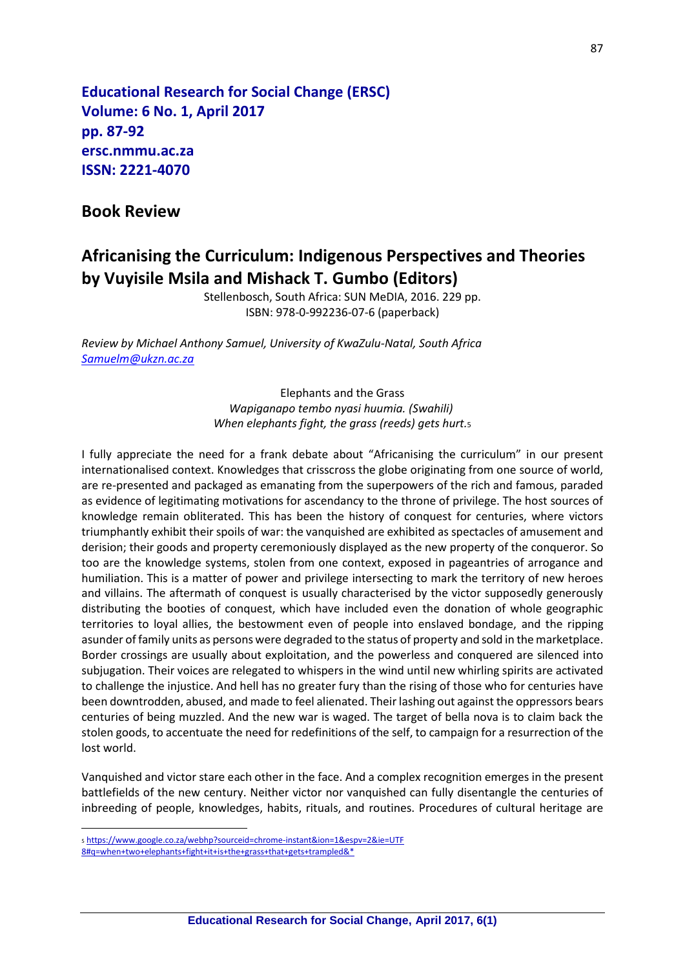**Educational Research for Social Change (ERSC) Volume: 6 No. 1, April 2017 pp. 87-92 ersc.nmmu.ac.za ISSN: 2221-4070**

## **Book Review**

## **Africanising the Curriculum: Indigenous Perspectives and Theories by Vuyisile Msila and Mishack T. Gumbo (Editors)**

Stellenbosch, South Africa: SUN MeDIA, 2016. 229 pp. ISBN: 978-0-992236-07-6 (paperback)

*Review by Michael Anthony Samuel, University of KwaZulu-Natal, South Africa [Samuelm@ukzn.ac.za](mailto:Samuelm@ukzn.ac.za)*

> Elephants and the Grass *Wapiganapo tembo nyasi huumia. (Swahili) When elephants fight, the grass (reeds) gets hurt.*<sup>5</sup>

I fully appreciate the need for a frank debate about "Africanising the curriculum" in our present internationalised context. Knowledges that crisscross the globe originating from one source of world, are re-presented and packaged as emanating from the superpowers of the rich and famous, paraded as evidence of legitimating motivations for ascendancy to the throne of privilege. The host sources of knowledge remain obliterated. This has been the history of conquest for centuries, where victors triumphantly exhibit their spoils of war: the vanquished are exhibited as spectacles of amusement and derision; their goods and property ceremoniously displayed as the new property of the conqueror. So too are the knowledge systems, stolen from one context, exposed in pageantries of arrogance and humiliation. This is a matter of power and privilege intersecting to mark the territory of new heroes and villains. The aftermath of conquest is usually characterised by the victor supposedly generously distributing the booties of conquest, which have included even the donation of whole geographic territories to loyal allies, the bestowment even of people into enslaved bondage, and the ripping asunder of family units as persons were degraded to the status of property and sold in the marketplace. Border crossings are usually about exploitation, and the powerless and conquered are silenced into subjugation. Their voices are relegated to whispers in the wind until new whirling spirits are activated to challenge the injustice. And hell has no greater fury than the rising of those who for centuries have been downtrodden, abused, and made to feel alienated. Their lashing out against the oppressors bears centuries of being muzzled. And the new war is waged. The target of bella nova is to claim back the stolen goods, to accentuate the need for redefinitions of the self, to campaign for a resurrection of the lost world.

Vanquished and victor stare each other in the face. And a complex recognition emerges in the present battlefields of the new century. Neither victor nor vanquished can fully disentangle the centuries of inbreeding of people, knowledges, habits, rituals, and routines. Procedures of cultural heritage are

 $\overline{a}$ 

<sup>5</sup> [https://www.google.co.za/webhp?sourceid=chrome-instant&ion=1&espv=2&ie=UTF](https://www.google.co.za/webhp?sourceid=chrome-instant&ion=1&espv=2&ie=UTF%208#q=when+two+elephants+fight+it+is+the+grass+that+gets+trampled&*) 

[<sup>8#</sup>q=when+two+elephants+fight+it+is+the+grass+that+gets+trampled&\\*](https://www.google.co.za/webhp?sourceid=chrome-instant&ion=1&espv=2&ie=UTF%208#q=when+two+elephants+fight+it+is+the+grass+that+gets+trampled&*)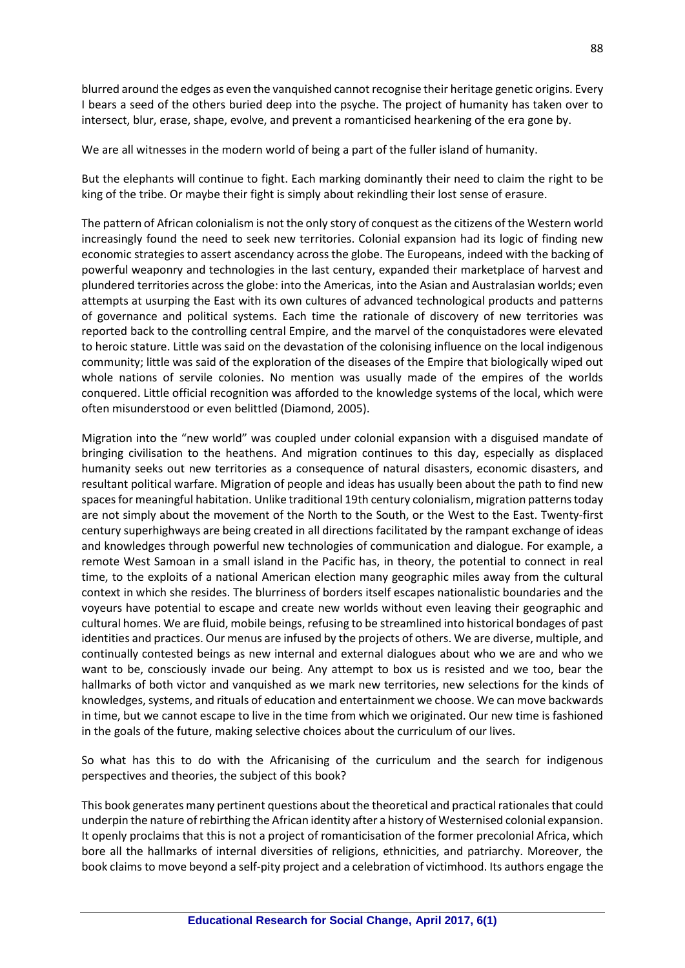blurred around the edges as even the vanquished cannot recognise their heritage genetic origins. Every I bears a seed of the others buried deep into the psyche. The project of humanity has taken over to intersect, blur, erase, shape, evolve, and prevent a romanticised hearkening of the era gone by.

We are all witnesses in the modern world of being a part of the fuller island of humanity.

But the elephants will continue to fight. Each marking dominantly their need to claim the right to be king of the tribe. Or maybe their fight is simply about rekindling their lost sense of erasure.

The pattern of African colonialism is not the only story of conquest as the citizens of the Western world increasingly found the need to seek new territories. Colonial expansion had its logic of finding new economic strategies to assert ascendancy across the globe. The Europeans, indeed with the backing of powerful weaponry and technologies in the last century, expanded their marketplace of harvest and plundered territories across the globe: into the Americas, into the Asian and Australasian worlds; even attempts at usurping the East with its own cultures of advanced technological products and patterns of governance and political systems. Each time the rationale of discovery of new territories was reported back to the controlling central Empire, and the marvel of the conquistadores were elevated to heroic stature. Little was said on the devastation of the colonising influence on the local indigenous community; little was said of the exploration of the diseases of the Empire that biologically wiped out whole nations of servile colonies. No mention was usually made of the empires of the worlds conquered. Little official recognition was afforded to the knowledge systems of the local, which were often misunderstood or even belittled (Diamond, 2005).

Migration into the "new world" was coupled under colonial expansion with a disguised mandate of bringing civilisation to the heathens. And migration continues to this day, especially as displaced humanity seeks out new territories as a consequence of natural disasters, economic disasters, and resultant political warfare. Migration of people and ideas has usually been about the path to find new spaces for meaningful habitation. Unlike traditional 19th century colonialism, migration patterns today are not simply about the movement of the North to the South, or the West to the East. Twenty-first century superhighways are being created in all directions facilitated by the rampant exchange of ideas and knowledges through powerful new technologies of communication and dialogue. For example, a remote West Samoan in a small island in the Pacific has, in theory, the potential to connect in real time, to the exploits of a national American election many geographic miles away from the cultural context in which she resides. The blurriness of borders itself escapes nationalistic boundaries and the voyeurs have potential to escape and create new worlds without even leaving their geographic and cultural homes. We are fluid, mobile beings, refusing to be streamlined into historical bondages of past identities and practices. Our menus are infused by the projects of others. We are diverse, multiple, and continually contested beings as new internal and external dialogues about who we are and who we want to be, consciously invade our being. Any attempt to box us is resisted and we too, bear the hallmarks of both victor and vanquished as we mark new territories, new selections for the kinds of knowledges, systems, and rituals of education and entertainment we choose. We can move backwards in time, but we cannot escape to live in the time from which we originated. Our new time is fashioned in the goals of the future, making selective choices about the curriculum of our lives.

So what has this to do with the Africanising of the curriculum and the search for indigenous perspectives and theories, the subject of this book?

This book generates many pertinent questions about the theoretical and practical rationales that could underpin the nature of rebirthing the African identity after a history of Westernised colonial expansion. It openly proclaims that this is not a project of romanticisation of the former precolonial Africa, which bore all the hallmarks of internal diversities of religions, ethnicities, and patriarchy. Moreover, the book claims to move beyond a self-pity project and a celebration of victimhood. Its authors engage the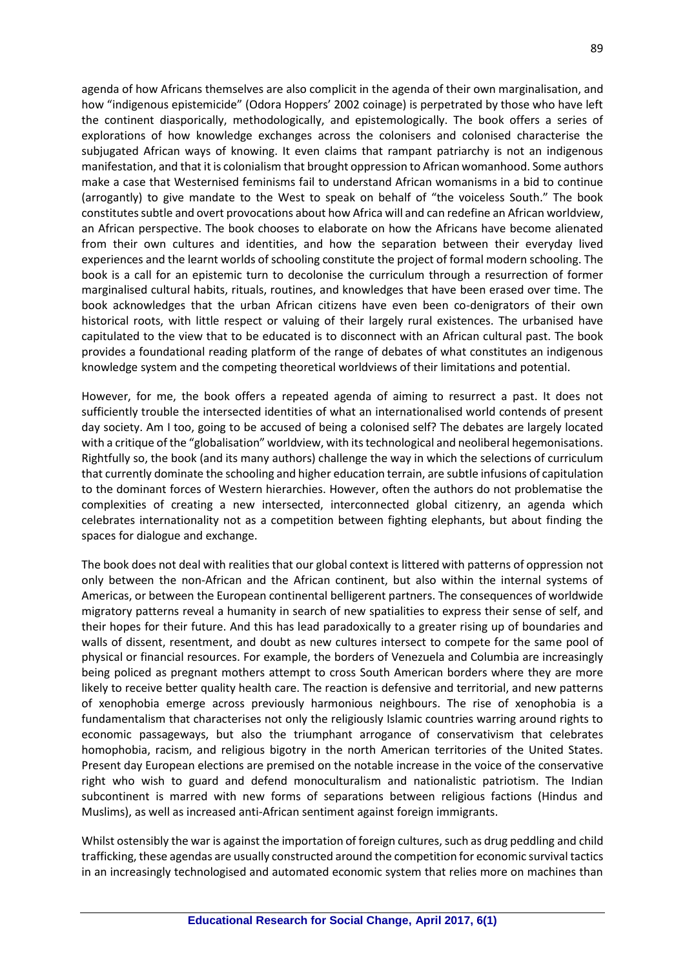agenda of how Africans themselves are also complicit in the agenda of their own marginalisation, and how "indigenous epistemicide" (Odora Hoppers' 2002 coinage) is perpetrated by those who have left the continent diasporically, methodologically, and epistemologically. The book offers a series of explorations of how knowledge exchanges across the colonisers and colonised characterise the subjugated African ways of knowing. It even claims that rampant patriarchy is not an indigenous manifestation, and that it is colonialism that brought oppression to African womanhood. Some authors make a case that Westernised feminisms fail to understand African womanisms in a bid to continue (arrogantly) to give mandate to the West to speak on behalf of "the voiceless South." The book constitutes subtle and overt provocations about how Africa will and can redefine an African worldview, an African perspective. The book chooses to elaborate on how the Africans have become alienated from their own cultures and identities, and how the separation between their everyday lived experiences and the learnt worlds of schooling constitute the project of formal modern schooling. The book is a call for an epistemic turn to decolonise the curriculum through a resurrection of former marginalised cultural habits, rituals, routines, and knowledges that have been erased over time. The book acknowledges that the urban African citizens have even been co-denigrators of their own historical roots, with little respect or valuing of their largely rural existences. The urbanised have capitulated to the view that to be educated is to disconnect with an African cultural past. The book provides a foundational reading platform of the range of debates of what constitutes an indigenous knowledge system and the competing theoretical worldviews of their limitations and potential.

However, for me, the book offers a repeated agenda of aiming to resurrect a past. It does not sufficiently trouble the intersected identities of what an internationalised world contends of present day society. Am I too, going to be accused of being a colonised self? The debates are largely located with a critique of the "globalisation" worldview, with its technological and neoliberal hegemonisations. Rightfully so, the book (and its many authors) challenge the way in which the selections of curriculum that currently dominate the schooling and higher education terrain, are subtle infusions of capitulation to the dominant forces of Western hierarchies. However, often the authors do not problematise the complexities of creating a new intersected, interconnected global citizenry, an agenda which celebrates internationality not as a competition between fighting elephants, but about finding the spaces for dialogue and exchange.

The book does not deal with realities that our global context is littered with patterns of oppression not only between the non-African and the African continent, but also within the internal systems of Americas, or between the European continental belligerent partners. The consequences of worldwide migratory patterns reveal a humanity in search of new spatialities to express their sense of self, and their hopes for their future. And this has lead paradoxically to a greater rising up of boundaries and walls of dissent, resentment, and doubt as new cultures intersect to compete for the same pool of physical or financial resources. For example, the borders of Venezuela and Columbia are increasingly being policed as pregnant mothers attempt to cross South American borders where they are more likely to receive better quality health care. The reaction is defensive and territorial, and new patterns of xenophobia emerge across previously harmonious neighbours. The rise of xenophobia is a fundamentalism that characterises not only the religiously Islamic countries warring around rights to economic passageways, but also the triumphant arrogance of conservativism that celebrates homophobia, racism, and religious bigotry in the north American territories of the United States. Present day European elections are premised on the notable increase in the voice of the conservative right who wish to guard and defend monoculturalism and nationalistic patriotism. The Indian subcontinent is marred with new forms of separations between religious factions (Hindus and Muslims), as well as increased anti-African sentiment against foreign immigrants.

Whilst ostensibly the war is against the importation of foreign cultures, such as drug peddling and child trafficking, these agendas are usually constructed around the competition for economic survival tactics in an increasingly technologised and automated economic system that relies more on machines than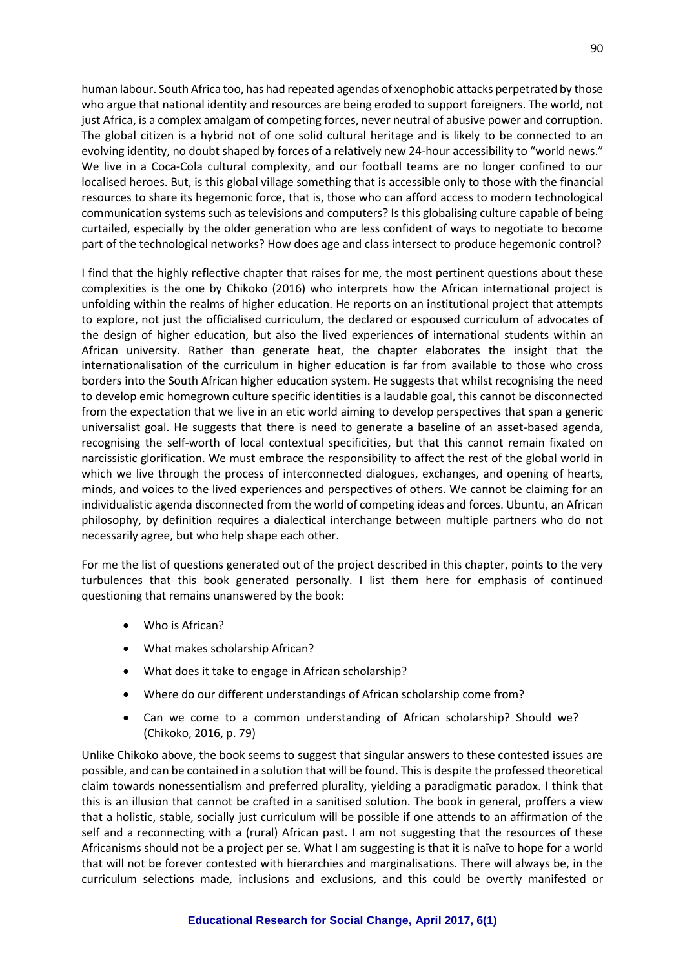human labour. South Africa too, has had repeated agendas of xenophobic attacks perpetrated by those who argue that national identity and resources are being eroded to support foreigners. The world, not just Africa, is a complex amalgam of competing forces, never neutral of abusive power and corruption. The global citizen is a hybrid not of one solid cultural heritage and is likely to be connected to an evolving identity, no doubt shaped by forces of a relatively new 24-hour accessibility to "world news." We live in a Coca-Cola cultural complexity, and our football teams are no longer confined to our localised heroes. But, is this global village something that is accessible only to those with the financial resources to share its hegemonic force, that is, those who can afford access to modern technological communication systems such as televisions and computers? Is this globalising culture capable of being curtailed, especially by the older generation who are less confident of ways to negotiate to become part of the technological networks? How does age and class intersect to produce hegemonic control?

I find that the highly reflective chapter that raises for me, the most pertinent questions about these complexities is the one by Chikoko (2016) who interprets how the African international project is unfolding within the realms of higher education. He reports on an institutional project that attempts to explore, not just the officialised curriculum, the declared or espoused curriculum of advocates of the design of higher education, but also the lived experiences of international students within an African university. Rather than generate heat, the chapter elaborates the insight that the internationalisation of the curriculum in higher education is far from available to those who cross borders into the South African higher education system. He suggests that whilst recognising the need to develop emic homegrown culture specific identities is a laudable goal, this cannot be disconnected from the expectation that we live in an etic world aiming to develop perspectives that span a generic universalist goal. He suggests that there is need to generate a baseline of an asset-based agenda, recognising the self-worth of local contextual specificities, but that this cannot remain fixated on narcissistic glorification. We must embrace the responsibility to affect the rest of the global world in which we live through the process of interconnected dialogues, exchanges, and opening of hearts, minds, and voices to the lived experiences and perspectives of others. We cannot be claiming for an individualistic agenda disconnected from the world of competing ideas and forces. Ubuntu, an African philosophy, by definition requires a dialectical interchange between multiple partners who do not necessarily agree, but who help shape each other.

For me the list of questions generated out of the project described in this chapter, points to the very turbulences that this book generated personally. I list them here for emphasis of continued questioning that remains unanswered by the book:

- Who is African?
- What makes scholarship African?
- What does it take to engage in African scholarship?
- Where do our different understandings of African scholarship come from?
- Can we come to a common understanding of African scholarship? Should we? (Chikoko, 2016, p. 79)

Unlike Chikoko above, the book seems to suggest that singular answers to these contested issues are possible, and can be contained in a solution that will be found. This is despite the professed theoretical claim towards nonessentialism and preferred plurality, yielding a paradigmatic paradox. I think that this is an illusion that cannot be crafted in a sanitised solution. The book in general, proffers a view that a holistic, stable, socially just curriculum will be possible if one attends to an affirmation of the self and a reconnecting with a (rural) African past. I am not suggesting that the resources of these Africanisms should not be a project per se. What I am suggesting is that it is naïve to hope for a world that will not be forever contested with hierarchies and marginalisations. There will always be, in the curriculum selections made, inclusions and exclusions, and this could be overtly manifested or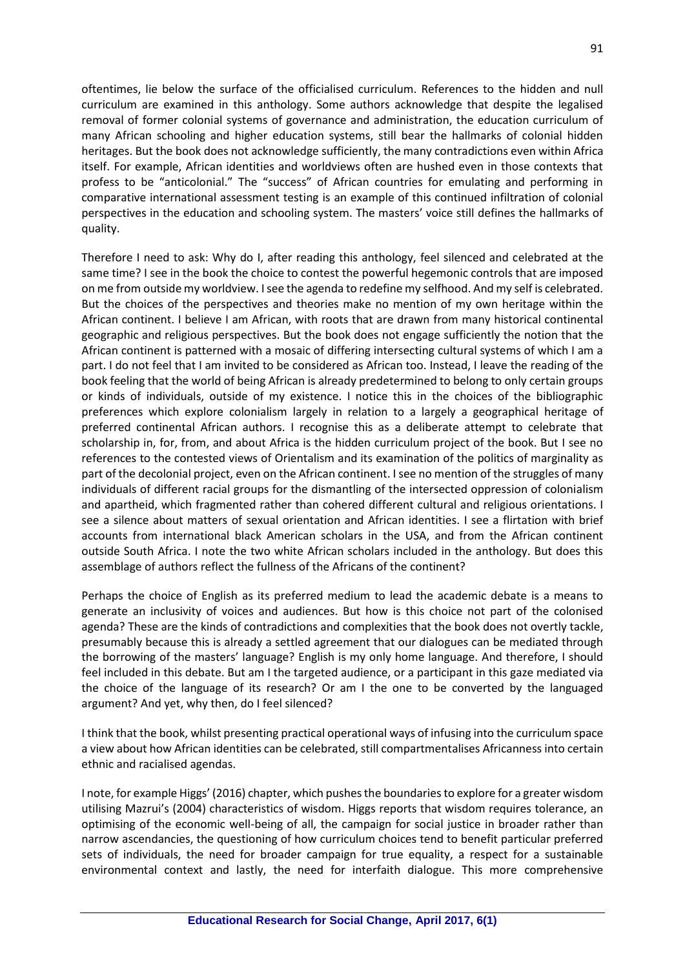oftentimes, lie below the surface of the officialised curriculum. References to the hidden and null curriculum are examined in this anthology. Some authors acknowledge that despite the legalised removal of former colonial systems of governance and administration, the education curriculum of many African schooling and higher education systems, still bear the hallmarks of colonial hidden heritages. But the book does not acknowledge sufficiently, the many contradictions even within Africa itself. For example, African identities and worldviews often are hushed even in those contexts that profess to be "anticolonial." The "success" of African countries for emulating and performing in comparative international assessment testing is an example of this continued infiltration of colonial perspectives in the education and schooling system. The masters' voice still defines the hallmarks of quality.

Therefore I need to ask: Why do I, after reading this anthology, feel silenced and celebrated at the same time? I see in the book the choice to contest the powerful hegemonic controls that are imposed on me from outside my worldview. I see the agenda to redefine my selfhood. And my self is celebrated. But the choices of the perspectives and theories make no mention of my own heritage within the African continent. I believe I am African, with roots that are drawn from many historical continental geographic and religious perspectives. But the book does not engage sufficiently the notion that the African continent is patterned with a mosaic of differing intersecting cultural systems of which I am a part. I do not feel that I am invited to be considered as African too. Instead, I leave the reading of the book feeling that the world of being African is already predetermined to belong to only certain groups or kinds of individuals, outside of my existence. I notice this in the choices of the bibliographic preferences which explore colonialism largely in relation to a largely a geographical heritage of preferred continental African authors. I recognise this as a deliberate attempt to celebrate that scholarship in, for, from, and about Africa is the hidden curriculum project of the book. But I see no references to the contested views of Orientalism and its examination of the politics of marginality as part of the decolonial project, even on the African continent. I see no mention of the struggles of many individuals of different racial groups for the dismantling of the intersected oppression of colonialism and apartheid, which fragmented rather than cohered different cultural and religious orientations. I see a silence about matters of sexual orientation and African identities. I see a flirtation with brief accounts from international black American scholars in the USA, and from the African continent outside South Africa. I note the two white African scholars included in the anthology. But does this assemblage of authors reflect the fullness of the Africans of the continent?

Perhaps the choice of English as its preferred medium to lead the academic debate is a means to generate an inclusivity of voices and audiences. But how is this choice not part of the colonised agenda? These are the kinds of contradictions and complexities that the book does not overtly tackle, presumably because this is already a settled agreement that our dialogues can be mediated through the borrowing of the masters' language? English is my only home language. And therefore, I should feel included in this debate. But am I the targeted audience, or a participant in this gaze mediated via the choice of the language of its research? Or am I the one to be converted by the languaged argument? And yet, why then, do I feel silenced?

I think that the book, whilst presenting practical operational ways of infusing into the curriculum space a view about how African identities can be celebrated, still compartmentalises Africanness into certain ethnic and racialised agendas.

I note, for example Higgs' (2016) chapter, which pushes the boundariesto explore for a greater wisdom utilising Mazrui's (2004) characteristics of wisdom. Higgs reports that wisdom requires tolerance, an optimising of the economic well-being of all, the campaign for social justice in broader rather than narrow ascendancies, the questioning of how curriculum choices tend to benefit particular preferred sets of individuals, the need for broader campaign for true equality, a respect for a sustainable environmental context and lastly, the need for interfaith dialogue. This more comprehensive